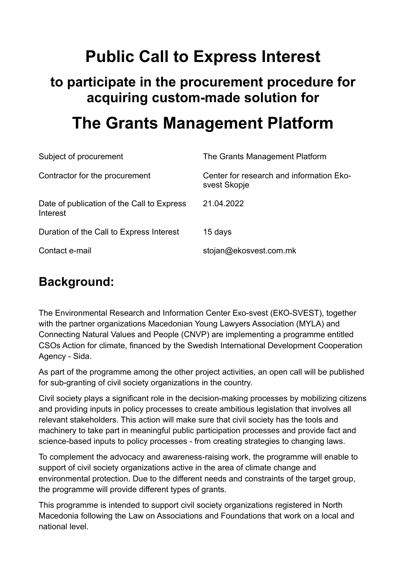# **Public Call to Express Interest**

## **to participate in the procurement procedure for acquiring custom-made solution for**

# **The Grants Management Platform**

| Subject of procurement                                 | The Grants Management Platform                           |
|--------------------------------------------------------|----------------------------------------------------------|
| Contractor for the procurement                         | Center for research and information Eko-<br>svest Skopje |
| Date of publication of the Call to Express<br>Interest | 21.04.2022                                               |
| Duration of the Call to Express Interest               | 15 days                                                  |
| Contact e-mail                                         | stojan@ekosvest.com.mk                                   |

### **Background:**

The Environmental Research and Information Center Eкo-svest (EКO-SVEST), together with the partner organizations Macedonian Young Lawyers Association (MYLA) and Connecting Natural Values and People (CNVP) are implementing a programme entitled CSOs Action for climate, financed by the Swedish International Development Cooperation Agency - Sida.

As part of the programme among the other project activities, an open call will be published for sub-granting of civil society organizations in the country.

Civil society plays a significant role in the decision-making processes by mobilizing citizens and providing inputs in policy processes to create ambitious legislation that involves all relevant stakeholders. This action will make sure that civil society has the tools and machinery to take part in meaningful public participation processes and provide fact and science-based inputs to policy processes - from creating strategies to changing laws.

To complement the advocacy and awareness-raising work, the programme will enable to support of civil society organizations active in the area of climate change and environmental protection. Due to the different needs and constraints of the target group, the programme will provide different types of grants.

This programme is intended to support civil society organizations registered in North Macedonia following the Law on Associations and Foundations that work on a local and national level.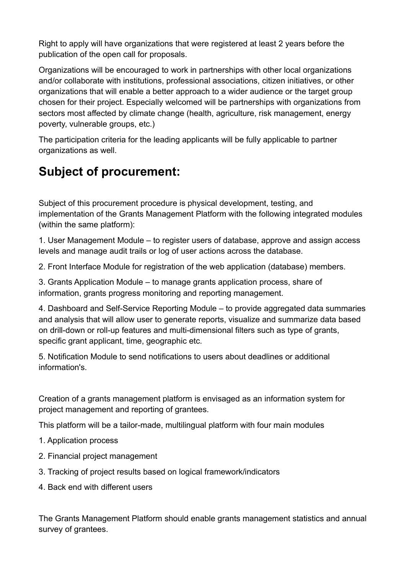Right to apply will have organizations that were registered at least 2 years before the publication of the open call for proposals.

Organizations will be encouraged to work in partnerships with other local organizations and/or collaborate with institutions, professional associations, citizen initiatives, or other organizations that will enable a better approach to a wider audience or the target group chosen for their project. Especially welcomed will be partnerships with organizations from sectors most affected by climate change (health, agriculture, risk management, energy poverty, vulnerable groups, etc.)

The participation criteria for the leading applicants will be fully applicable to partner organizations as well.

## **Subject of procurement:**

Subject of this procurement procedure is physical development, testing, and implementation of the Grants Management Platform with the following integrated modules (within the same platform):

1. User Management Module – to register users of database, approve and assign access levels and manage audit trails or log of user actions across the database.

2. Front Interface Module for registration of the web application (database) members.

3. Grants Application Module – to manage grants application process, share of information, grants progress monitoring and reporting management.

4. Dashboard and Self-Service Reporting Module – to provide aggregated data summaries and analysis that will allow user to generate reports, visualize and summarize data based on drill-down or roll-up features and multi-dimensional filters such as type of grants, specific grant applicant, time, geographic etc.

5. Notification Module to send notifications to users about deadlines or additional information's.

Creation of a grants management platform is envisaged as an information system for project management and reporting of grantees.

This platform will be a tailor-made, multilingual platform with four main modules

- 1. Application process
- 2. Financial project management
- 3. Tracking of project results based on logical framework/indicators
- 4. Back end with different users

The Grants Management Platform should enable grants management statistics and annual survey of grantees.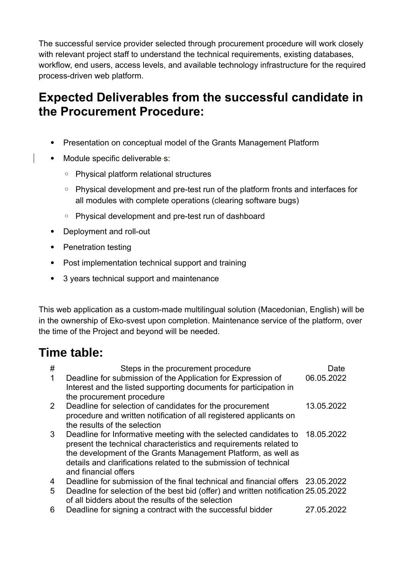The successful service provider selected through procurement procedure will work closely with relevant project staff to understand the technical requirements, existing databases, workflow, end users, access levels, and available technology infrastructure for the required process-driven web platform.

### **Expected Deliverables from the successful candidate in the Procurement Procedure:**

- Presentation on conceptual model of the Grants Management Platform
- Module specific deliverable-s:
	- Physical platform relational structures
	- Physical development and pre-test run of the platform fronts and interfaces for all modules with complete operations (clearing software bugs)
	- Physical development and pre-test run of dashboard
- Deployment and roll-out
- Penetration testing
- Post implementation technical support and training
- 3 years technical support and maintenance

This web application as a custom-made multilingual solution (Macedonian, English) will be in the ownership of Eko-svest upon completion. Maintenance service of the platform, over the time of the Project and beyond will be needed.

#### **Time table:**

| #            | Steps in the procurement procedure                                                                                                                                                                                                                                                                  | Date       |
|--------------|-----------------------------------------------------------------------------------------------------------------------------------------------------------------------------------------------------------------------------------------------------------------------------------------------------|------------|
| $\mathbf{1}$ | Deadline for submission of the Application for Expression of<br>Interest and the listed supporting documents for participation in<br>the procurement procedure                                                                                                                                      | 06.05.2022 |
| $\mathbf{2}$ | Deadline for selection of candidates for the procurement<br>procedure and written notification of all registered applicants on<br>the results of the selection                                                                                                                                      | 13.05.2022 |
| 3            | Deadline for Informative meeting with the selected candidates to<br>present the technical characteristics and requirements related to<br>the development of the Grants Management Platform, as well as<br>details and clarifications related to the submission of technical<br>and financial offers | 18.05.2022 |
| 4            | Deadline for submission of the final technical and financial offers 23.05.2022                                                                                                                                                                                                                      |            |
| 5            | Deadlne for selection of the best bid (offer) and written notification 25.05.2022<br>of all bidders about the results of the selection                                                                                                                                                              |            |
| 6            | Deadline for signing a contract with the successful bidder                                                                                                                                                                                                                                          | 27.05.2022 |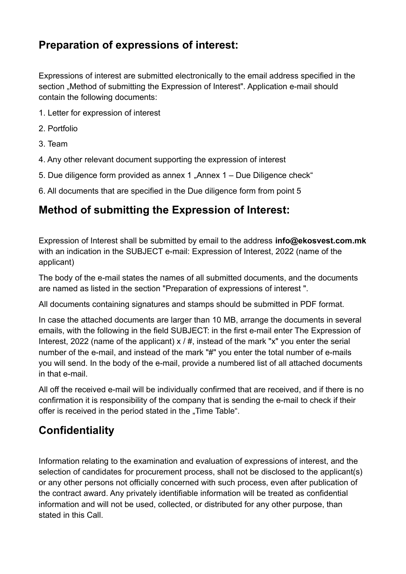#### **Preparation of expressions of interest:**

Expressions of interest are submitted electronically to the email address specified in the section "Method of submitting the Expression of Interest". Application e-mail should contain the following documents:

- 1. Letter for expression of interest
- 2. Portfolio
- 3. Team
- 4. Any other relevant document supporting the expression of interest
- 5. Due diligence form provided as annex  $1$  "Annex  $1 -$  Due Diligence check"
- 6. All documents that are specified in the Due diligence form from point 5

#### **Method of submitting the Expression of Interest:**

Expression of Interest shall be submitted by email to the address **info@ekosvest.com.mk** with an indication in the SUBJECT e-mail: Expression of Interest, 2022 (name of the applicant)

The body of the e-mail states the names of all submitted documents, and the documents are named as listed in the section "Preparation of expressions of interest ".

All documents containing signatures and stamps should be submitted in PDF format.

In case the attached documents are larger than 10 MB, arrange the documents in several emails, with the following in the field SUBJECT: in the first e-mail enter The Expression of Interest, 2022 (name of the applicant)  $x / #$ , instead of the mark "x" you enter the serial number of the e-mail, and instead of the mark "#" you enter the total number of e-mails you will send. In the body of the e-mail, provide a numbered list of all attached documents in that e-mail.

All off the received e-mail will be individually confirmed that are received, and if there is no confirmation it is responsibility of the company that is sending the e-mail to check if their offer is received in the period stated in the "Time Table".

#### **Confidentiality**

Information relating to the examination and evaluation of expressions of interest, and the selection of candidates for procurement process, shall not be disclosed to the applicant(s) or any other persons not officially concerned with such process, even after publication of the contract award. Any privately identifiable information will be treated as confidential information and will not be used, collected, or distributed for any other purpose, than stated in this Call.